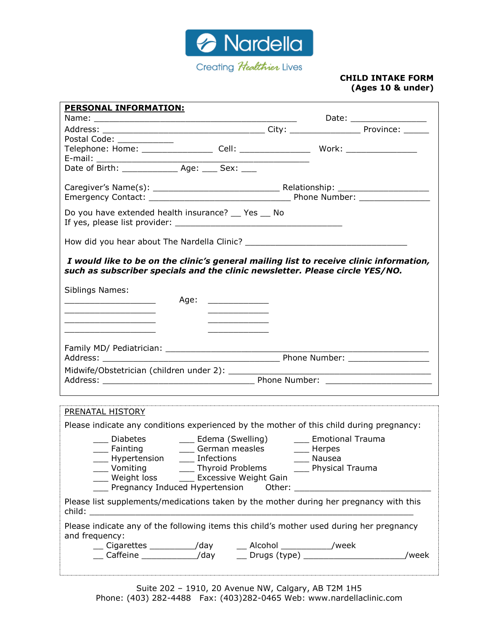

#### **CHILD INTAKE FORM (Ages 10 & under)**

| <b>PERSONAL INFORMATION:</b>                                                                                                                                           |                                              |                        |                          |
|------------------------------------------------------------------------------------------------------------------------------------------------------------------------|----------------------------------------------|------------------------|--------------------------|
|                                                                                                                                                                        |                                              |                        | Date: __________________ |
|                                                                                                                                                                        |                                              |                        |                          |
| Postal Code: _____________                                                                                                                                             |                                              |                        |                          |
|                                                                                                                                                                        |                                              |                        |                          |
|                                                                                                                                                                        |                                              |                        |                          |
|                                                                                                                                                                        |                                              |                        |                          |
|                                                                                                                                                                        |                                              |                        |                          |
|                                                                                                                                                                        |                                              |                        |                          |
|                                                                                                                                                                        |                                              |                        |                          |
| Do you have extended health insurance? Yes No                                                                                                                          |                                              |                        |                          |
|                                                                                                                                                                        |                                              |                        |                          |
| I would like to be on the clinic's general mailing list to receive clinic information,<br>such as subscriber specials and the clinic newsletter. Please circle YES/NO. |                                              |                        |                          |
| Siblings Names:                                                                                                                                                        |                                              |                        |                          |
| <u> 1989 - Johann Barbara, martin amerikan basar da</u>                                                                                                                | Age: ________________                        |                        |                          |
| the control of the control of the control of the control of the control of                                                                                             |                                              |                        |                          |
| the control of the control of the control of the control of the control of                                                                                             | the control of the control of the control of |                        |                          |
|                                                                                                                                                                        |                                              |                        |                          |
|                                                                                                                                                                        |                                              |                        |                          |
|                                                                                                                                                                        |                                              |                        |                          |
|                                                                                                                                                                        |                                              |                        |                          |
|                                                                                                                                                                        |                                              |                        |                          |
|                                                                                                                                                                        |                                              |                        |                          |
| PRENATAL HISTORY                                                                                                                                                       |                                              |                        |                          |
| Please indicate any conditions experienced by the mother of this child during pregnancy:                                                                               |                                              |                        |                          |
|                                                                                                                                                                        |                                              |                        |                          |
| ___ Fainting      ____ German measles      ____ Herpes                                                                                                                 |                                              |                        |                          |
| Hypertension _____ Infections                                                                                                                                          |                                              | $\frac{1}{100}$ Nausea |                          |
|                                                                                                                                                                        |                                              |                        |                          |
| ___ Vomiting    ____ Thyroid Problems    ____ Physical Trauma<br>___ Weight loss    ____ Excessive Weight Gain                                                         |                                              |                        |                          |
| The Pregnancy Induced Hypertension Cther: Chronicle Pregnancy Induced Hypertension Cther: Chronicle Pregnancy                                                          |                                              |                        |                          |
| Please list supplements/medications taken by the mother during her pregnancy with this                                                                                 |                                              |                        |                          |
| Please indicate any of the following items this child's mother used during her pregnancy                                                                               |                                              |                        |                          |
| and frequency:                                                                                                                                                         |                                              |                        |                          |
|                                                                                                                                                                        |                                              |                        | /week                    |
|                                                                                                                                                                        |                                              |                        |                          |
|                                                                                                                                                                        |                                              |                        |                          |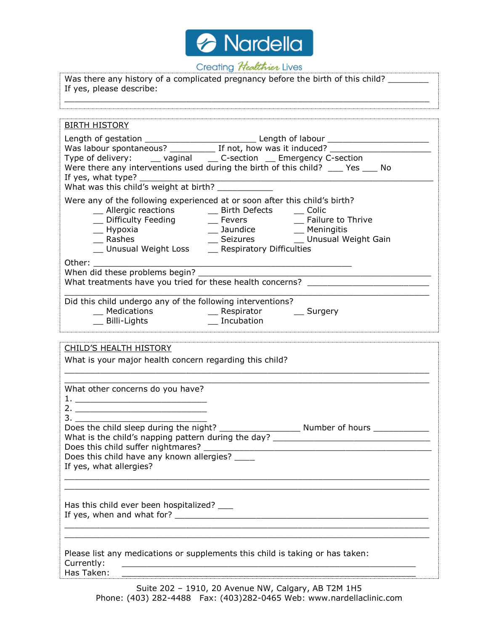

# Creating Healthier Lives

| If yes, please describe:                                                  | Was there any history of a complicated pregnancy before the birth of this child?                                                                                                                                                                                       |  |  |  |  |
|---------------------------------------------------------------------------|------------------------------------------------------------------------------------------------------------------------------------------------------------------------------------------------------------------------------------------------------------------------|--|--|--|--|
| <b>BIRTH HISTORY</b>                                                      |                                                                                                                                                                                                                                                                        |  |  |  |  |
|                                                                           |                                                                                                                                                                                                                                                                        |  |  |  |  |
|                                                                           |                                                                                                                                                                                                                                                                        |  |  |  |  |
| Type of delivery: _____ vaginal _____ C-section ____ Emergency C-section  |                                                                                                                                                                                                                                                                        |  |  |  |  |
|                                                                           | Were there any interventions used during the birth of this child? ____ Yes ____ No                                                                                                                                                                                     |  |  |  |  |
|                                                                           |                                                                                                                                                                                                                                                                        |  |  |  |  |
|                                                                           |                                                                                                                                                                                                                                                                        |  |  |  |  |
|                                                                           | Were any of the following experienced at or soon after this child's birth?                                                                                                                                                                                             |  |  |  |  |
|                                                                           | __ Allergic reactions ____ Birth Defects ____ Colic<br>__ Difficulty Feeding _______ Fevers __________ Failure to Thrive                                                                                                                                               |  |  |  |  |
|                                                                           |                                                                                                                                                                                                                                                                        |  |  |  |  |
|                                                                           | <sup>1</sup> Hypoxia <sup>2</sup> <sup>2</sup> <sup>2</sup> 2013 <sup>2</sup> 2022 <sup>2</sup> 2022  2022  2022  2022  2022  2022  2022  2022  2022  2022  2022  2022  2022  2022  2022  2022  2022  2022  2022  2022  2022  2022  2022  2022  2022  2022  2022  2022 |  |  |  |  |
| _ Unusual Weight Loss _____ Respiratory Difficulties                      |                                                                                                                                                                                                                                                                        |  |  |  |  |
|                                                                           |                                                                                                                                                                                                                                                                        |  |  |  |  |
|                                                                           | What treatments have you tried for these health concerns? ______________________                                                                                                                                                                                       |  |  |  |  |
|                                                                           |                                                                                                                                                                                                                                                                        |  |  |  |  |
| Did this child undergo any of the following interventions?                |                                                                                                                                                                                                                                                                        |  |  |  |  |
|                                                                           | __ Medications ___ __ __ __ Respirator ___ __ _ Surgery                                                                                                                                                                                                                |  |  |  |  |
| __ Billi-Lights _______________ Incubation                                |                                                                                                                                                                                                                                                                        |  |  |  |  |
|                                                                           |                                                                                                                                                                                                                                                                        |  |  |  |  |
| <b>CHILD'S HEALTH HISTORY</b>                                             |                                                                                                                                                                                                                                                                        |  |  |  |  |
| What is your major health concern regarding this child?                   |                                                                                                                                                                                                                                                                        |  |  |  |  |
|                                                                           |                                                                                                                                                                                                                                                                        |  |  |  |  |
| What other concerns do you have?                                          |                                                                                                                                                                                                                                                                        |  |  |  |  |
|                                                                           |                                                                                                                                                                                                                                                                        |  |  |  |  |
|                                                                           |                                                                                                                                                                                                                                                                        |  |  |  |  |
| Does the child sleep during the night?                                    | _____ Number of hours __                                                                                                                                                                                                                                               |  |  |  |  |
|                                                                           | What is the child's napping pattern during the day? _____________________________                                                                                                                                                                                      |  |  |  |  |
|                                                                           |                                                                                                                                                                                                                                                                        |  |  |  |  |
| Does this child have any known allergies? ____<br>If yes, what allergies? |                                                                                                                                                                                                                                                                        |  |  |  |  |
|                                                                           |                                                                                                                                                                                                                                                                        |  |  |  |  |
|                                                                           |                                                                                                                                                                                                                                                                        |  |  |  |  |
|                                                                           |                                                                                                                                                                                                                                                                        |  |  |  |  |
| Has this child ever been hospitalized? ____                               |                                                                                                                                                                                                                                                                        |  |  |  |  |
|                                                                           |                                                                                                                                                                                                                                                                        |  |  |  |  |
|                                                                           | ,我们也不能在这里的时候,我们也不能在这里的时候,我们也不能在这里的时候,我们也不能会不能会不能会不能会不能会不能会不能会。<br>第2012章 我们的时候,我们的时候,我们的时候,我们的时候,我们的时候,我们的时候,我们的时候,我们的时候,我们的时候,我们的时候,我们的时候,我们的时候,我                                                                                                                     |  |  |  |  |
|                                                                           |                                                                                                                                                                                                                                                                        |  |  |  |  |
| Currently:                                                                | Please list any medications or supplements this child is taking or has taken:                                                                                                                                                                                          |  |  |  |  |
| Has Taken:                                                                | <u> 2000 - 2000 - 2000 - 2000 - 2000 - 2000 - 2000 - 2000 - 2000 - 2000 - 2000 - 2000 - 2000 - 2000 - 2000 - 200</u>                                                                                                                                                   |  |  |  |  |
|                                                                           |                                                                                                                                                                                                                                                                        |  |  |  |  |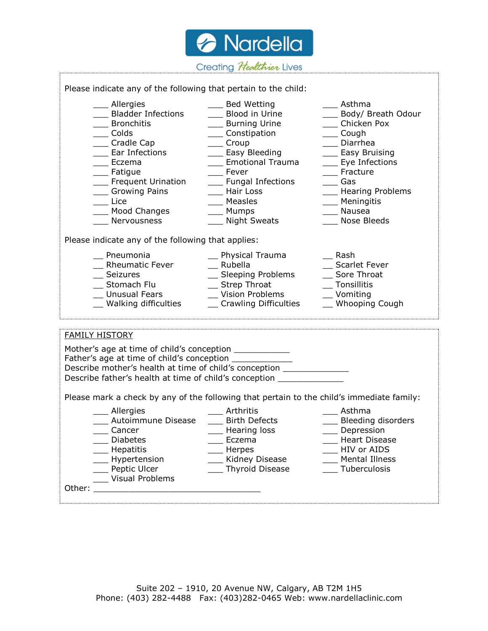*A* Nardella Creating Healthier Lives Please indicate any of the following that pertain to the child: \_\_\_ Allergies \_\_\_ Bed Wetting \_\_\_ Asthma \_\_\_ Bladder Infections \_\_\_ Blood in Urine \_\_\_ Body/ Breath Odour \_\_\_\_ Bronchitis \_\_\_\_\_\_\_ \_\_\_\_\_\_ Burning Urine \_\_\_\_\_\_\_\_ \_\_\_\_\_ Chicken Pox \_\_\_\_ Colds \_\_\_\_ Constipation \_\_\_\_ Cough \_\_\_ Cradle Cap \_\_\_ Croup \_\_\_ Diarrhea \_\_\_\_ Ear Infections \_\_\_\_\_\_\_\_\_ Easy Bleeding \_\_\_\_\_\_\_\_\_\_\_ Easy Bruising \_\_\_\_ Eczema \_\_\_\_ Emotional Trauma \_\_\_\_ Eye Infections \_\_\_ Fatigue \_\_\_ Fever \_\_\_ Fracture \_\_\_ Frequent Urination \_\_\_ Fungal Infections \_\_\_ Gas \_\_\_ Growing Pains \_\_\_ Hair Loss \_\_\_ Hearing Problems \_\_\_\_ Lice \_\_\_\_ Measles \_\_\_\_ Meningitis \_\_\_\_ Mood Changes \_\_\_\_ Mumps \_\_\_\_ Nausea \_\_\_\_ Nervousness \_\_\_\_ Night Sweats \_\_\_\_ Nose Bleeds Please indicate any of the following that applies: \_\_ Pneumonia \_\_ Physical Trauma \_\_ Rash \_\_ Rheumatic Fever \_\_\_ Rubella \_\_\_ Scarlet Fever  $\_\$  Seizures  $\_\_\_$  Sleeping Problems  $\_\_\_$  Sore Throat \_\_ Stomach Flu \_\_ Strep Throat \_\_ Tonsillitis \_\_ Unusual Fears \_\_ Vision Problems \_\_ Vomiting \_\_ Walking difficulties \_\_ Crawling Difficulties \_\_ Whooping Cough FAMILY HISTORY Mother's age at time of child's conception \_\_\_\_\_\_\_\_\_\_\_\_\_

Father's age at time of child's conception \_\_\_\_\_\_\_\_\_\_ Describe mother's health at time of child's conception Describe father's health at time of child's conception Please mark a check by any of the following that pertain to the child's immediate family: \_\_\_\_ Allergies \_\_\_\_ Arthritis \_\_\_\_ Asthma \_\_\_ Autoimmune Disease \_\_\_ Birth Defects \_\_\_ Bleeding disorders \_\_\_ Cancer \_\_\_ Hearing loss \_\_\_ Depression \_\_\_ Diabetes \_\_\_ Eczema \_\_\_ Heart Disease \_\_\_\_ Hepatitis \_\_\_\_ Herpes \_\_\_\_ HIV or AIDS \_\_\_ Hypertension \_\_\_ Kidney Disease \_\_\_ Mental Illness \_\_\_\_ Peptic Ulcer \_\_\_\_ Thyroid Disease \_\_\_\_ Tuberculosis \_\_\_ Visual Problems

Other: \_\_\_\_\_\_\_\_\_\_\_\_\_\_\_\_\_\_\_\_\_\_\_\_\_\_\_\_\_\_\_\_\_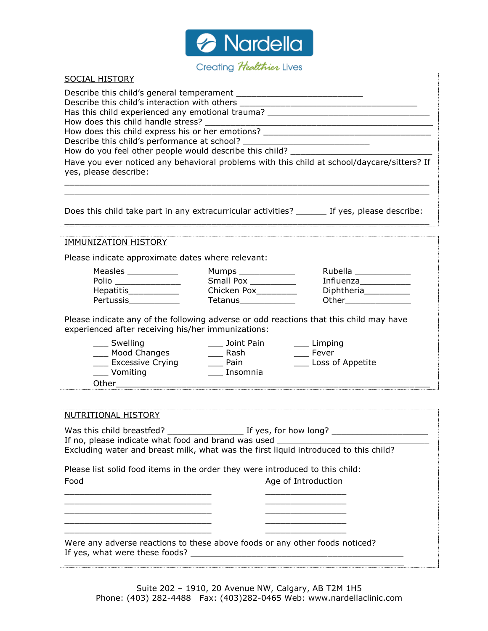

## Creating Healthier Lives

| <b>SOCIAL HISTORY</b>                                                                                                                                                                                                                          |                                                                 |                                                                                               |  |  |  |  |  |
|------------------------------------------------------------------------------------------------------------------------------------------------------------------------------------------------------------------------------------------------|-----------------------------------------------------------------|-----------------------------------------------------------------------------------------------|--|--|--|--|--|
|                                                                                                                                                                                                                                                |                                                                 |                                                                                               |  |  |  |  |  |
| Describe this child's interaction with others __________________________________<br>Has this child experienced any emotional trauma? _______________________________                                                                           |                                                                 |                                                                                               |  |  |  |  |  |
|                                                                                                                                                                                                                                                |                                                                 |                                                                                               |  |  |  |  |  |
| How does this child express his or her emotions? ________________________________                                                                                                                                                              |                                                                 |                                                                                               |  |  |  |  |  |
|                                                                                                                                                                                                                                                |                                                                 |                                                                                               |  |  |  |  |  |
| yes, please describe:                                                                                                                                                                                                                          |                                                                 | Have you ever noticed any behavioral problems with this child at school/daycare/sitters? If   |  |  |  |  |  |
|                                                                                                                                                                                                                                                |                                                                 |                                                                                               |  |  |  |  |  |
|                                                                                                                                                                                                                                                |                                                                 | Does this child take part in any extracurricular activities? _______ If yes, please describe: |  |  |  |  |  |
|                                                                                                                                                                                                                                                |                                                                 |                                                                                               |  |  |  |  |  |
| <b>IMMUNIZATION HISTORY</b>                                                                                                                                                                                                                    |                                                                 |                                                                                               |  |  |  |  |  |
| Please indicate approximate dates where relevant:                                                                                                                                                                                              |                                                                 |                                                                                               |  |  |  |  |  |
| Measles ____________                                                                                                                                                                                                                           | Mumps ______________                                            | Rubella ______________                                                                        |  |  |  |  |  |
| Polio                                                                                                                                                                                                                                          | Small Pox __________                                            |                                                                                               |  |  |  |  |  |
| Hepatitis_____________<br>Pertussis___________                                                                                                                                                                                                 | Chicken Pox_________<br>Tetanus_____________                    | Diphtheria___________                                                                         |  |  |  |  |  |
| Please indicate any of the following adverse or odd reactions that this child may have<br>experienced after receiving his/her immunizations:<br>__ Swelling<br>____ Mood Changes<br>Lacken Excessive Crying Camera Lacken Pain<br>___ Vomiting | ____ Joint Pain _______ Limping<br>_______ Rash<br>___ Insomnia | __ Fever<br>____ Loss of Appetite                                                             |  |  |  |  |  |
|                                                                                                                                                                                                                                                |                                                                 |                                                                                               |  |  |  |  |  |
|                                                                                                                                                                                                                                                |                                                                 |                                                                                               |  |  |  |  |  |
| NUTRITIONAL HISTORY                                                                                                                                                                                                                            |                                                                 |                                                                                               |  |  |  |  |  |
| Was this child breastfed?                                                                                                                                                                                                                      | $\_$ If yes, for how long? $\_$                                 |                                                                                               |  |  |  |  |  |
| If no, please indicate what food and brand was used ____<br>Excluding water and breast milk, what was the first liquid introduced to this child?                                                                                               |                                                                 |                                                                                               |  |  |  |  |  |
| Please list solid food items in the order they were introduced to this child:                                                                                                                                                                  |                                                                 |                                                                                               |  |  |  |  |  |
| Age of Introduction<br>Food                                                                                                                                                                                                                    |                                                                 |                                                                                               |  |  |  |  |  |
|                                                                                                                                                                                                                                                |                                                                 |                                                                                               |  |  |  |  |  |
|                                                                                                                                                                                                                                                |                                                                 |                                                                                               |  |  |  |  |  |
|                                                                                                                                                                                                                                                |                                                                 |                                                                                               |  |  |  |  |  |
|                                                                                                                                                                                                                                                |                                                                 |                                                                                               |  |  |  |  |  |
| Were any adverse reactions to these above foods or any other foods noticed?<br>If yes, what were these foods?                                                                                                                                  |                                                                 |                                                                                               |  |  |  |  |  |

 $\overline{\phantom{a}}$  , and the set of the set of the set of the set of the set of the set of the set of the set of the set of the set of the set of the set of the set of the set of the set of the set of the set of the set of the s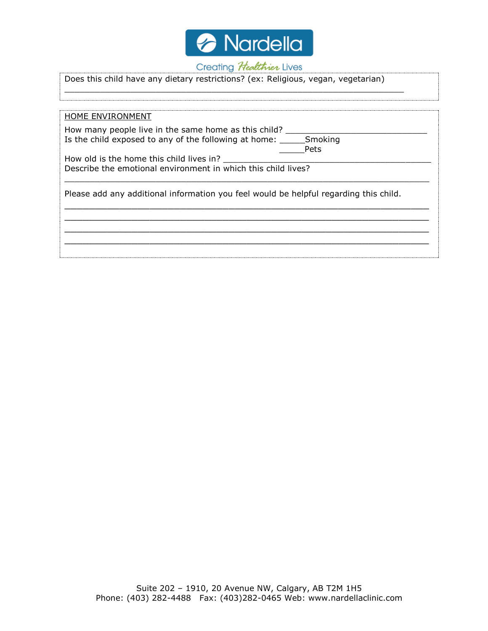

## Creating Healthier Lives

| Does this child have any dietary restrictions? (ex: Religious, vegan, vegetarian)                                             |  |  |  |  |
|-------------------------------------------------------------------------------------------------------------------------------|--|--|--|--|
|                                                                                                                               |  |  |  |  |
| HOME ENVIRONMENT                                                                                                              |  |  |  |  |
| How many people live in the same home as this child?<br>Is the child exposed to any of the following at home: Smoking<br>Pets |  |  |  |  |
| How old is the home this child lives in?<br>Describe the emotional environment in which this child lives?                     |  |  |  |  |
| Please add any additional information you feel would be helpful regarding this child.                                         |  |  |  |  |
|                                                                                                                               |  |  |  |  |